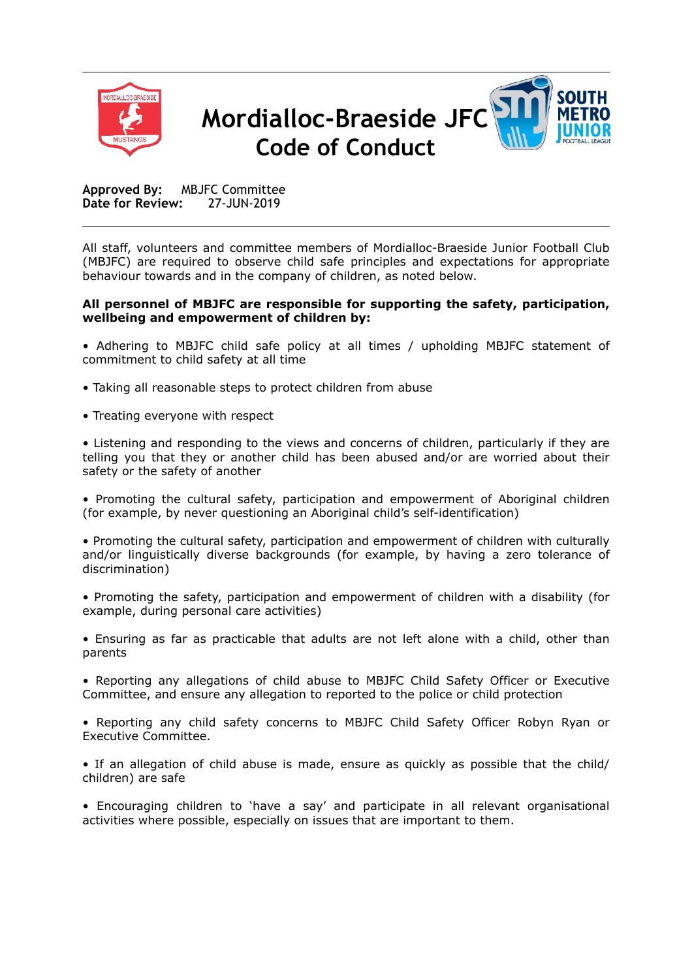



**Approved By:** MBJFC Committee **Date for Review:** 27-JUN-2019

All staff, volunteers and committee members of Mordialloc-Braeside Junior Football Club (MBJFC) are required to observe child safe principles and expectations for appropriate behaviour towards and in the company of children, as noted below.

## **All personnel of MBJFC are responsible for supporting the safety, participation, wellbeing and empowerment of children by:**

- Adhering to MBJFC child safe policy at all times / upholding MBJFC statement of commitment to child safety at all time
- Taking all reasonable steps to protect children from abuse
- Treating everyone with respect

• Listening and responding to the views and concerns of children, particularly if they are telling you that they or another child has been abused and/or are worried about their safety or the safety of another

• Promoting the cultural safety, participation and empowerment of Aboriginal children (for example, by never questioning an Aboriginal child's self-identification)

• Promoting the cultural safety, participation and empowerment of children with culturally and/or linguistically diverse backgrounds (for example, by having a zero tolerance of discrimination)

• Promoting the safety, participation and empowerment of children with a disability (for example, during personal care activities)

• Ensuring as far as practicable that adults are not left alone with a child, other than parents

• Reporting any allegations of child abuse to MBJFC Child Safety Officer or Executive Committee, and ensure any allegation to reported to the police or child protection

• Reporting any child safety concerns to MBJFC Child Safety Officer Robyn Ryan or Executive Committee.

• If an allegation of child abuse is made, ensure as quickly as possible that the child/ children) are safe

• Encouraging children to 'have a say' and participate in all relevant organisational activities where possible, especially on issues that are important to them.